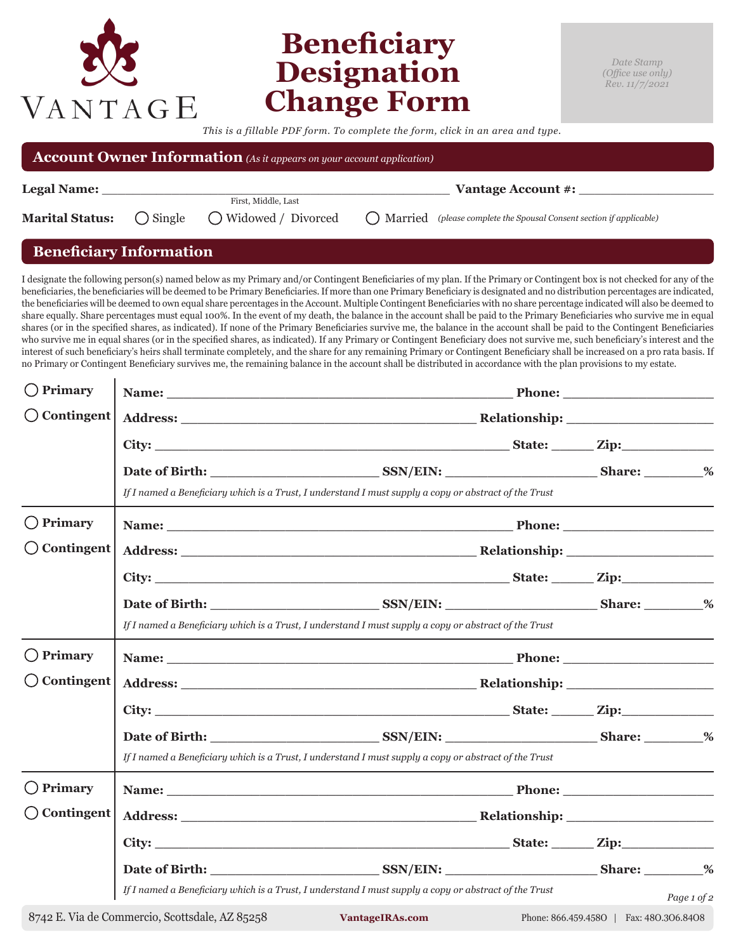## **Beneficiary Designation Change Form**

*This is a fillable PDF form. To complete the form, click in an area and type.*

| <b>Account Owner Information</b> (As it appears on your account application) |  |                                                                        |                                                                        |  |  |  |  |
|------------------------------------------------------------------------------|--|------------------------------------------------------------------------|------------------------------------------------------------------------|--|--|--|--|
| Legal Name:                                                                  |  |                                                                        | Vantage Account #:                                                     |  |  |  |  |
| <b>Marital Status:</b>                                                       |  | First, Middle, Last<br>$\bigcirc$ Single $\bigcirc$ Widowed / Divorced | () Married (please complete the Spousal Consent section if applicable) |  |  |  |  |

## **Beneficiary Information**

 $\mathbf{I}$ 

VANTAGE

I designate the following person(s) named below as my Primary and/or Contingent Beneficiaries of my plan. If the Primary or Contingent box is not checked for any of the beneficiaries, the beneficiaries will be deemed to be Primary Beneficiaries. If more than one Primary Beneficiary is designated and no distribution percentages are indicated, the beneficiaries will be deemed to own equal share percentages in the Account. Multiple Contingent Beneficiaries with no share percentage indicated will also be deemed to share equally. Share percentages must equal 100%. In the event of my death, the balance in the account shall be paid to the Primary Beneficiaries who survive me in equal shares (or in the specified shares, as indicated). If none of the Primary Beneficiaries survive me, the balance in the account shall be paid to the Contingent Beneficiaries who survive me in equal shares (or in the specified shares, as indicated). If any Primary or Contingent Beneficiary does not survive me, such beneficiary's interest and the interest of such beneficiary's heirs shall terminate completely, and the share for any remaining Primary or Contingent Beneficiary shall be increased on a pro rata basis. If no Primary or Contingent Beneficiary survives me, the remaining balance in the account shall be distributed in accordance with the plan provisions to my estate.

| $()$ Primary          |                                                                                                       |                                                                                                                                                                                                                                |  |                                         |             |  |
|-----------------------|-------------------------------------------------------------------------------------------------------|--------------------------------------------------------------------------------------------------------------------------------------------------------------------------------------------------------------------------------|--|-----------------------------------------|-------------|--|
| $\bigcirc$ Contingent |                                                                                                       |                                                                                                                                                                                                                                |  |                                         |             |  |
|                       |                                                                                                       |                                                                                                                                                                                                                                |  |                                         |             |  |
|                       |                                                                                                       | Date of Birth: SSN/EIN: Share: %                                                                                                                                                                                               |  |                                         |             |  |
|                       | If I named a Beneficiary which is a Trust, I understand I must supply a copy or abstract of the Trust |                                                                                                                                                                                                                                |  |                                         |             |  |
| $\bigcirc$ Primary    |                                                                                                       |                                                                                                                                                                                                                                |  |                                         |             |  |
| $\bigcirc$ Contingent |                                                                                                       |                                                                                                                                                                                                                                |  |                                         |             |  |
|                       |                                                                                                       |                                                                                                                                                                                                                                |  |                                         |             |  |
|                       |                                                                                                       | Date of Birth: SSN/EIN: SSN/EIN: Share: 36 Share: 36 Share: 36 Share: 36 Share: 36 Share: 36 Share: 36 Share: 36 Share: 36 Share: 36 Share: 36 Share: 36 Share: 36 Share: 36 Share: 36 Share: 36 Share: 36 Share: 36 Share: 36 |  |                                         |             |  |
|                       | If I named a Beneficiary which is a Trust, I understand I must supply a copy or abstract of the Trust |                                                                                                                                                                                                                                |  |                                         |             |  |
| $\bigcirc$ Primary    |                                                                                                       |                                                                                                                                                                                                                                |  |                                         |             |  |
| $\bigcirc$ Contingent |                                                                                                       |                                                                                                                                                                                                                                |  |                                         |             |  |
|                       |                                                                                                       |                                                                                                                                                                                                                                |  |                                         |             |  |
|                       |                                                                                                       |                                                                                                                                                                                                                                |  |                                         |             |  |
|                       | If I named a Beneficiary which is a Trust, I understand I must supply a copy or abstract of the Trust |                                                                                                                                                                                                                                |  |                                         |             |  |
| $\bigcirc$ Primary    |                                                                                                       |                                                                                                                                                                                                                                |  |                                         |             |  |
| $\bigcirc$ Contingent |                                                                                                       |                                                                                                                                                                                                                                |  |                                         |             |  |
|                       |                                                                                                       |                                                                                                                                                                                                                                |  |                                         |             |  |
|                       |                                                                                                       |                                                                                                                                                                                                                                |  |                                         |             |  |
|                       | If I named a Beneficiary which is a Trust, I understand I must supply a copy or abstract of the Trust |                                                                                                                                                                                                                                |  |                                         | Page 1 of 2 |  |
|                       | 8742 E. Via de Commercio, Scottsdale, AZ 85258                                                        | VantageIRAs.com                                                                                                                                                                                                                |  | Phone: 866.459.4580   Fax: 480.306.8408 |             |  |